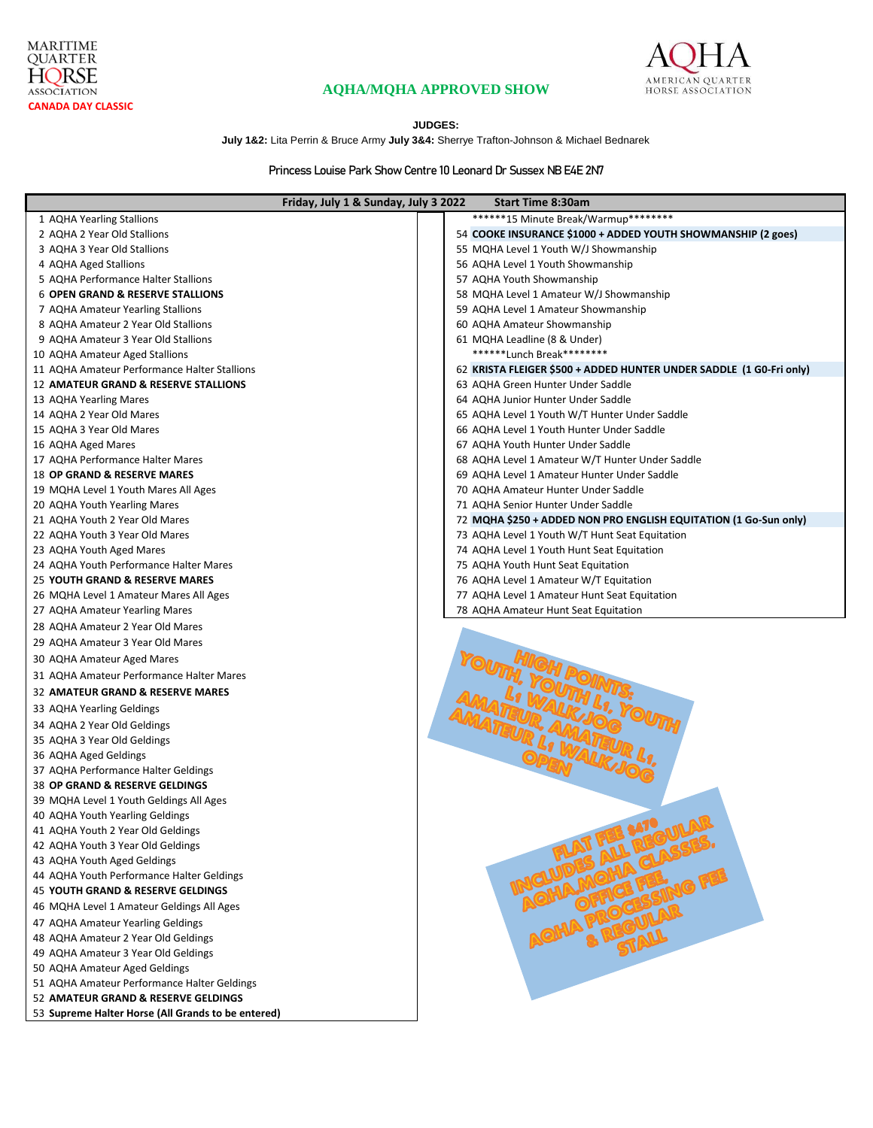



# **AQHA/MQHA APPROVED SHOW**

### **JUDGES:**

**July 1&2:** Lita Perrin & Bruce Army **July 3&4:** Sherrye Trafton-Johnson & Michael Bednarek

**Princess Louise Park Show Centre 10 Leonard Dr Sussex NB E4E 2N7**

| Friday, July 1 & Sunday, July 3 2022               | <b>Start Time 8:30am</b>                                            |
|----------------------------------------------------|---------------------------------------------------------------------|
| 1 AQHA Yearling Stallions                          | *******15 Minute Break/Warmup*********                              |
| 2 AQHA 2 Year Old Stallions                        | 54 COOKE INSURANCE \$1000 + ADDED YOUTH SHOWMANSHIP (2 goes)        |
| 3 AQHA 3 Year Old Stallions                        | 55 MQHA Level 1 Youth W/J Showmanship                               |
| 4 AQHA Aged Stallions                              | 56 AQHA Level 1 Youth Showmanship                                   |
| 5 AQHA Performance Halter Stallions                | 57 AQHA Youth Showmanship                                           |
| <b>6 OPEN GRAND &amp; RESERVE STALLIONS</b>        | 58 MQHA Level 1 Amateur W/J Showmanship                             |
| 7 AQHA Amateur Yearling Stallions                  | 59 AQHA Level 1 Amateur Showmanship                                 |
| 8 AQHA Amateur 2 Year Old Stallions                | 60 AQHA Amateur Showmanship                                         |
| 9 AQHA Amateur 3 Year Old Stallions                | 61 MQHA Leadline (8 & Under)                                        |
| 10 AQHA Amateur Aged Stallions                     | *******Lunch Break*********                                         |
| 11 AQHA Amateur Performance Halter Stallions       | 62 KRISTA FLEIGER \$500 + ADDED HUNTER UNDER SADDLE (1 GO-Fri only) |
| <b>12 AMATEUR GRAND &amp; RESERVE STALLIONS</b>    | 63 AQHA Green Hunter Under Saddle                                   |
| 13 AQHA Yearling Mares                             | 64 AQHA Junior Hunter Under Saddle                                  |
| 14 AQHA 2 Year Old Mares                           | 65 AQHA Level 1 Youth W/T Hunter Under Saddle                       |
| 15 AQHA 3 Year Old Mares                           | 66 AQHA Level 1 Youth Hunter Under Saddle                           |
| 16 AQHA Aged Mares                                 | 67 AQHA Youth Hunter Under Saddle                                   |
| 17 AQHA Performance Halter Mares                   | 68 AQHA Level 1 Amateur W/T Hunter Under Saddle                     |
| <b>18 OP GRAND &amp; RESERVE MARES</b>             | 69 AQHA Level 1 Amateur Hunter Under Saddle                         |
| 19 MQHA Level 1 Youth Mares All Ages               | 70 AQHA Amateur Hunter Under Saddle                                 |
| 20 AQHA Youth Yearling Mares                       | 71 AQHA Senior Hunter Under Saddle                                  |
| 21 AQHA Youth 2 Year Old Mares                     | 72 MQHA \$250 + ADDED NON PRO ENGLISH EQUITATION (1 Go-Sun only)    |
| 22 AQHA Youth 3 Year Old Mares                     | 73 AQHA Level 1 Youth W/T Hunt Seat Equitation                      |
| 23 AQHA Youth Aged Mares                           | 74 AQHA Level 1 Youth Hunt Seat Equitation                          |
| 24 AQHA Youth Performance Halter Mares             | 75 AQHA Youth Hunt Seat Equitation                                  |
| 25 YOUTH GRAND & RESERVE MARES                     | 76 AQHA Level 1 Amateur W/T Equitation                              |
| 26 MQHA Level 1 Amateur Mares All Ages             | 77 AQHA Level 1 Amateur Hunt Seat Equitation                        |
| 27 AQHA Amateur Yearling Mares                     | 78 AQHA Amateur Hunt Seat Equitation                                |
| 28 AQHA Amateur 2 Year Old Mares                   |                                                                     |
| 29 AQHA Amateur 3 Year Old Mares                   |                                                                     |
| 30 AQHA Amateur Aged Mares                         |                                                                     |
| 31 AQHA Amateur Performance Halter Mares           |                                                                     |
| 32 AMATEUR GRAND & RESERVE MARES                   |                                                                     |
| 33 AQHA Yearling Geldings                          |                                                                     |
| 34 AQHA 2 Year Old Geldings                        |                                                                     |
| 35 AQHA 3 Year Old Geldings                        |                                                                     |
| 36 AQHA Aged Geldings                              |                                                                     |
| 37 AQHA Performance Halter Geldings                |                                                                     |
| <b>38 OP GRAND &amp; RESERVE GELDINGS</b>          |                                                                     |
| 39 MQHA Level 1 Youth Geldings All Ages            |                                                                     |
| 40 AQHA Youth Yearling Geldings                    | 2 aat <sup>o</sup> an AR                                            |
| 41 AQHA Youth 2 Year Old Geldings                  |                                                                     |
| 42 AQHA Youth 3 Year Old Geldings                  |                                                                     |
| 43 AQHA Youth Aged Geldings                        |                                                                     |
| 44 AQHA Youth Performance Halter Geldings          |                                                                     |
| 45 YOUTH GRAND & RESERVE GELDINGS                  |                                                                     |
| 46 MQHA Level 1 Amateur Geldings All Ages          |                                                                     |
| 47 AQHA Amateur Yearling Geldings                  |                                                                     |
| 48 AQHA Amateur 2 Year Old Geldings                |                                                                     |
| 49 AQHA Amateur 3 Year Old Geldings                |                                                                     |
| 50 AQHA Amateur Aged Geldings                      |                                                                     |
| 51 AQHA Amateur Performance Halter Geldings        |                                                                     |
| 52 AMATEUR GRAND & RESERVE GELDINGS                |                                                                     |
| 53 Supreme Halter Horse (All Grands to be entered) |                                                                     |